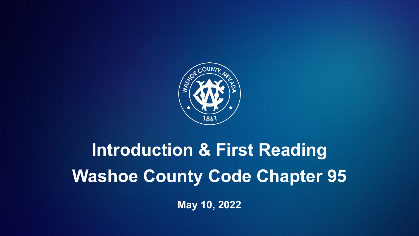

# **Introduction & First Reading Washoe County Code Chapter 95**

**May 10, 2022**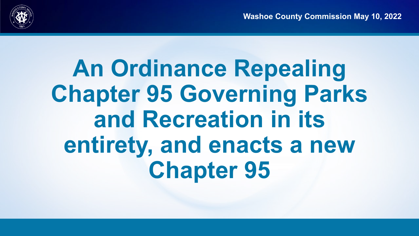

## **An Ordinance Repealing Chapter 95 Governing Parks and Recreation in its entirety, and enacts a new Chapter 95**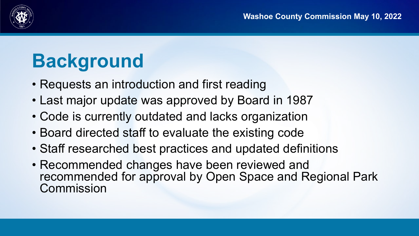

### **Background**

- Requests an introduction and first reading
- Last major update was approved by Board in 1987
- Code is currently outdated and lacks organization
- Board directed staff to evaluate the existing code
- Staff researched best practices and updated definitions
- Recommended changes have been reviewed and recommended for approval by Open Space and Regional Park Commission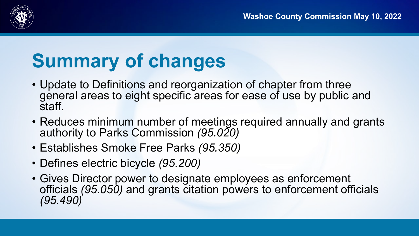

### **Summary of changes**

- Update to Definitions and reorganization of chapter from three general areas to eight specific areas for ease of use by public and staff.
- Reduces minimum number of meetings required annually and grants authority to Parks Commission *(95.020)*
- Establishes Smoke Free Parks *(95.350)*
- Defines electric bicycle *(95.200)*
- Gives Director power to designate employees as enforcement officials *(95.050)* and grants citation powers to enforcement officials *(95.490)*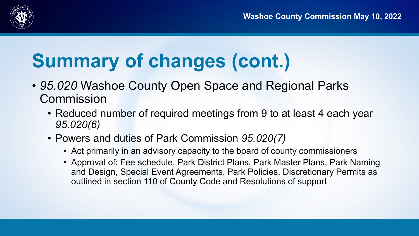

- *95.020* Washoe County Open Space and Regional Parks **Commission** 
	- Reduced number of required meetings from 9 to at least 4 each year *95.020(6)*
	- Powers and duties of Park Commission *95.020(7)*
		- Act primarily in an advisory capacity to the board of county commissioners
		- Approval of: Fee schedule, Park District Plans, Park Master Plans, Park Naming and Design, Special Event Agreements, Park Policies, Discretionary Permits as outlined in section 110 of County Code and Resolutions of support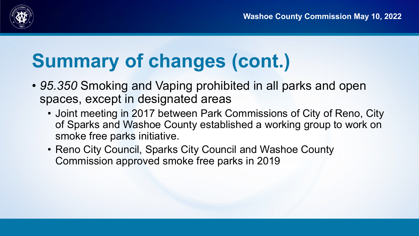

- *95.350* Smoking and Vaping prohibited in all parks and open spaces, except in designated areas
	- Joint meeting in 2017 between Park Commissions of City of Reno, City of Sparks and Washoe County established a working group to work on smoke free parks initiative.
	- Reno City Council, Sparks City Council and Washoe County Commission approved smoke free parks in 2019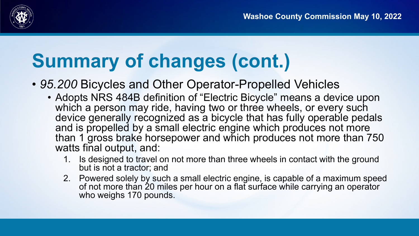

- *95.200* Bicycles and Other Operator-Propelled Vehicles
	- Adopts NRS 484B definition of "Electric Bicycle" means a device upon which a person may ride, having two or three wheels, or every such device generally recognized as a bicycle that has fully operable pedals and is propelled by a small electric engine which produces not more than 1 gross brake horsepower and which produces not more than 750 watts final output, and:
		- 1. Is designed to travel on not more than three wheels in contact with the ground but is not a tractor; and
		- 2. Powered solely by such a small electric engine, is capable of a maximum speed of not more than 20 miles per hour on a flat surface while carrying an operator who weighs 170 pounds.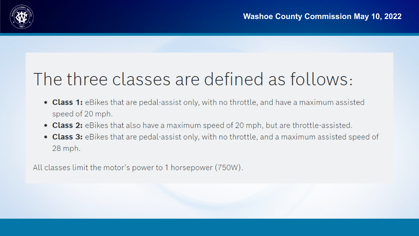

#### The three classes are defined as follows:

- Class 1: eBikes that are pedal-assist only, with no throttle, and have a maximum assisted speed of 20 mph.
- Class 2: eBikes that also have a maximum speed of 20 mph, but are throttle-assisted.
- Class 3: eBikes that are pedal-assist only, with no throttle, and a maximum assisted speed of 28 mph.

All classes limit the motor's power to 1 horsepower (750W).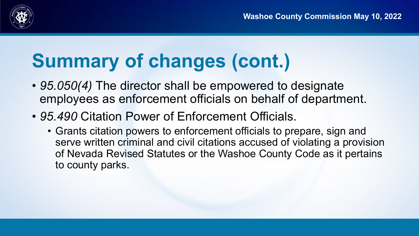

- *95.050(4)* The director shall be empowered to designate employees as enforcement officials on behalf of department.
- *95.490* Citation Power of Enforcement Officials.
	- Grants citation powers to enforcement officials to prepare, sign and serve written criminal and civil citations accused of violating a provision of Nevada Revised Statutes or the Washoe County Code as it pertains to county parks.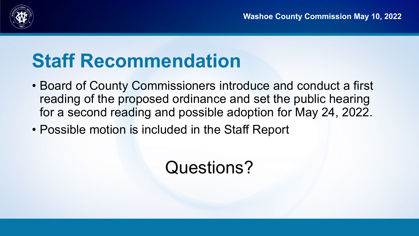

#### **Staff Recommendation**

- Board of County Commissioners introduce and conduct a first reading of the proposed ordinance and set the public hearing for a second reading and possible adoption for May 24, 2022.
- Possible motion is included in the Staff Report

#### Questions?